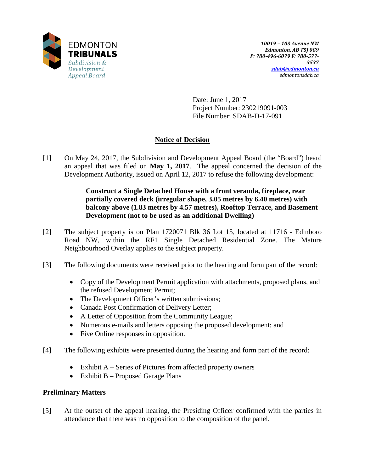

Date: June 1, 2017 Project Number: 230219091-003 File Number: SDAB-D-17-091

# **Notice of Decision**

[1] On May 24, 2017, the Subdivision and Development Appeal Board (the "Board") heard an appeal that was filed on **May 1, 2017**. The appeal concerned the decision of the Development Authority, issued on April 12, 2017 to refuse the following development:

# **Construct a Single Detached House with a front veranda, fireplace, rear partially covered deck (irregular shape, 3.05 metres by 6.40 metres) with balcony above (1.83 metres by 4.57 metres), Rooftop Terrace, and Basement Development (not to be used as an additional Dwelling)**

- [2] The subject property is on Plan 1720071 Blk 36 Lot 15, located at 11716 Edinboro Road NW, within the RF1 Single Detached Residential Zone. The Mature Neighbourhood Overlay applies to the subject property.
- [3] The following documents were received prior to the hearing and form part of the record:
	- Copy of the Development Permit application with attachments, proposed plans, and the refused Development Permit;
	- The Development Officer's written submissions;
	- Canada Post Confirmation of Delivery Letter;
	- A Letter of Opposition from the Community League;
	- Numerous e-mails and letters opposing the proposed development; and
	- Five Online responses in opposition.
- [4] The following exhibits were presented during the hearing and form part of the record:
	- Exhibit A Series of Pictures from affected property owners
	- Exhibit B Proposed Garage Plans

## **Preliminary Matters**

[5] At the outset of the appeal hearing, the Presiding Officer confirmed with the parties in attendance that there was no opposition to the composition of the panel.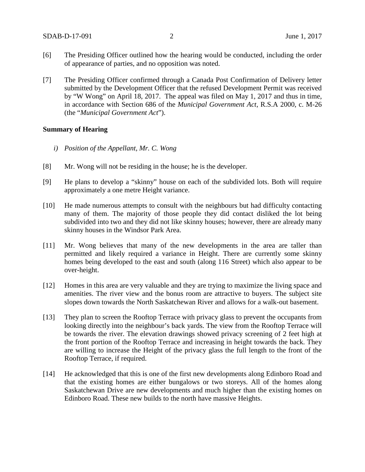- [6] The Presiding Officer outlined how the hearing would be conducted, including the order of appearance of parties, and no opposition was noted.
- [7] The Presiding Officer confirmed through a Canada Post Confirmation of Delivery letter submitted by the Development Officer that the refused Development Permit was received by "W Wong" on April 18, 2017. The appeal was filed on May 1, 2017 and thus in time, in accordance with Section 686 of the *Municipal Government Act*, R.S.A 2000, c. M-26 (the "*Municipal Government Act*").

#### **Summary of Hearing**

- *i) Position of the Appellant, Mr. C. Wong*
- [8] Mr. Wong will not be residing in the house; he is the developer.
- [9] He plans to develop a "skinny" house on each of the subdivided lots. Both will require approximately a one metre Height variance.
- [10] He made numerous attempts to consult with the neighbours but had difficulty contacting many of them. The majority of those people they did contact disliked the lot being subdivided into two and they did not like skinny houses; however, there are already many skinny houses in the Windsor Park Area.
- [11] Mr. Wong believes that many of the new developments in the area are taller than permitted and likely required a variance in Height. There are currently some skinny homes being developed to the east and south (along 116 Street) which also appear to be over-height.
- [12] Homes in this area are very valuable and they are trying to maximize the living space and amenities. The river view and the bonus room are attractive to buyers. The subject site slopes down towards the North Saskatchewan River and allows for a walk-out basement.
- [13] They plan to screen the Rooftop Terrace with privacy glass to prevent the occupants from looking directly into the neighbour's back yards. The view from the Rooftop Terrace will be towards the river. The elevation drawings showed privacy screening of 2 feet high at the front portion of the Rooftop Terrace and increasing in height towards the back. They are willing to increase the Height of the privacy glass the full length to the front of the Rooftop Terrace, if required.
- [14] He acknowledged that this is one of the first new developments along Edinboro Road and that the existing homes are either bungalows or two storeys. All of the homes along Saskatchewan Drive are new developments and much higher than the existing homes on Edinboro Road. These new builds to the north have massive Heights.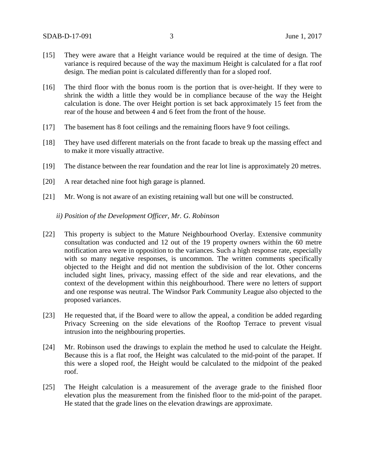- [15] They were aware that a Height variance would be required at the time of design. The variance is required because of the way the maximum Height is calculated for a flat roof design. The median point is calculated differently than for a sloped roof.
- [16] The third floor with the bonus room is the portion that is over-height. If they were to shrink the width a little they would be in compliance because of the way the Height calculation is done. The over Height portion is set back approximately 15 feet from the rear of the house and between 4 and 6 feet from the front of the house.
- [17] The basement has 8 foot ceilings and the remaining floors have 9 foot ceilings.
- [18] They have used different materials on the front facade to break up the massing effect and to make it more visually attractive.
- [19] The distance between the rear foundation and the rear lot line is approximately 20 metres.
- [20] A rear detached nine foot high garage is planned.
- [21] Mr. Wong is not aware of an existing retaining wall but one will be constructed.

*ii) Position of the Development Officer, Mr. G. Robinson*

- [22] This property is subject to the Mature Neighbourhood Overlay. Extensive community consultation was conducted and 12 out of the 19 property owners within the 60 metre notification area were in opposition to the variances. Such a high response rate, especially with so many negative responses, is uncommon. The written comments specifically objected to the Height and did not mention the subdivision of the lot. Other concerns included sight lines, privacy, massing effect of the side and rear elevations, and the context of the development within this neighbourhood. There were no letters of support and one response was neutral. The Windsor Park Community League also objected to the proposed variances.
- [23] He requested that, if the Board were to allow the appeal, a condition be added regarding Privacy Screening on the side elevations of the Rooftop Terrace to prevent visual intrusion into the neighbouring properties.
- [24] Mr. Robinson used the drawings to explain the method he used to calculate the Height. Because this is a flat roof, the Height was calculated to the mid-point of the parapet. If this were a sloped roof, the Height would be calculated to the midpoint of the peaked roof.
- [25] The Height calculation is a measurement of the average grade to the finished floor elevation plus the measurement from the finished floor to the mid-point of the parapet. He stated that the grade lines on the elevation drawings are approximate.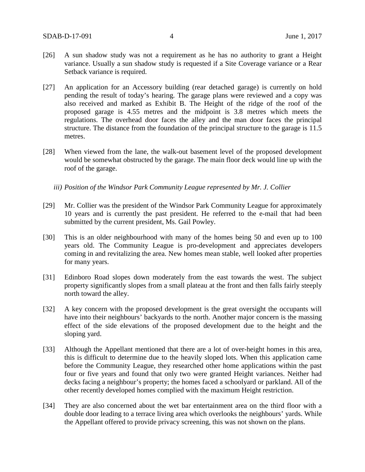- [26] A sun shadow study was not a requirement as he has no authority to grant a Height variance. Usually a sun shadow study is requested if a Site Coverage variance or a Rear Setback variance is required.
- [27] An application for an Accessory building (rear detached garage) is currently on hold pending the result of today's hearing. The garage plans were reviewed and a copy was also received and marked as Exhibit B. The Height of the ridge of the roof of the proposed garage is 4.55 metres and the midpoint is 3.8 metres which meets the regulations. The overhead door faces the alley and the man door faces the principal structure. The distance from the foundation of the principal structure to the garage is 11.5 metres.
- [28] When viewed from the lane, the walk-out basement level of the proposed development would be somewhat obstructed by the garage. The main floor deck would line up with the roof of the garage.
	- *iii) Position of the Windsor Park Community League represented by Mr. J. Collier*
- [29] Mr. Collier was the president of the Windsor Park Community League for approximately 10 years and is currently the past president. He referred to the e-mail that had been submitted by the current president, Ms. Gail Powley.
- [30] This is an older neighbourhood with many of the homes being 50 and even up to 100 years old. The Community League is pro-development and appreciates developers coming in and revitalizing the area. New homes mean stable, well looked after properties for many years.
- [31] Edinboro Road slopes down moderately from the east towards the west. The subject property significantly slopes from a small plateau at the front and then falls fairly steeply north toward the alley.
- [32] A key concern with the proposed development is the great oversight the occupants will have into their neighbours' backyards to the north. Another major concern is the massing effect of the side elevations of the proposed development due to the height and the sloping yard.
- [33] Although the Appellant mentioned that there are a lot of over-height homes in this area, this is difficult to determine due to the heavily sloped lots. When this application came before the Community League, they researched other home applications within the past four or five years and found that only two were granted Height variances. Neither had decks facing a neighbour's property; the homes faced a schoolyard or parkland. All of the other recently developed homes complied with the maximum Height restriction.
- [34] They are also concerned about the wet bar entertainment area on the third floor with a double door leading to a terrace living area which overlooks the neighbours' yards. While the Appellant offered to provide privacy screening, this was not shown on the plans.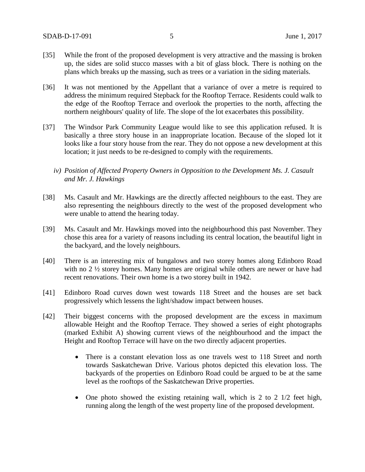- [35] While the front of the proposed development is very attractive and the massing is broken up, the sides are solid stucco masses with a bit of glass block. There is nothing on the plans which breaks up the massing, such as trees or a variation in the siding materials.
- [36] It was not mentioned by the Appellant that a variance of over a metre is required to address the minimum required Stepback for the Rooftop Terrace. Residents could walk to the edge of the Rooftop Terrace and overlook the properties to the north, affecting the northern neighbours' quality of life. The slope of the lot exacerbates this possibility.
- [37] The Windsor Park Community League would like to see this application refused. It is basically a three story house in an inappropriate location. Because of the sloped lot it looks like a four story house from the rear. They do not oppose a new development at this location; it just needs to be re-designed to comply with the requirements.
	- *iv) Position of Affected Property Owners in Opposition to the Development Ms. J. Casault and Mr. J. Hawkings*
- [38] Ms. Casault and Mr. Hawkings are the directly affected neighbours to the east. They are also representing the neighbours directly to the west of the proposed development who were unable to attend the hearing today.
- [39] Ms. Casault and Mr. Hawkings moved into the neighbourhood this past November. They chose this area for a variety of reasons including its central location, the beautiful light in the backyard, and the lovely neighbours.
- [40] There is an interesting mix of bungalows and two storey homes along Edinboro Road with no 2  $\frac{1}{2}$  storey homes. Many homes are original while others are newer or have had recent renovations. Their own home is a two storey built in 1942.
- [41] Edinboro Road curves down west towards 118 Street and the houses are set back progressively which lessens the light/shadow impact between houses.
- [42] Their biggest concerns with the proposed development are the excess in maximum allowable Height and the Rooftop Terrace. They showed a series of eight photographs (marked Exhibit A) showing current views of the neighbourhood and the impact the Height and Rooftop Terrace will have on the two directly adjacent properties.
	- There is a constant elevation loss as one travels west to 118 Street and north towards Saskatchewan Drive. Various photos depicted this elevation loss. The backyards of the properties on Edinboro Road could be argued to be at the same level as the rooftops of the Saskatchewan Drive properties.
	- One photo showed the existing retaining wall, which is 2 to 2  $1/2$  feet high, running along the length of the west property line of the proposed development.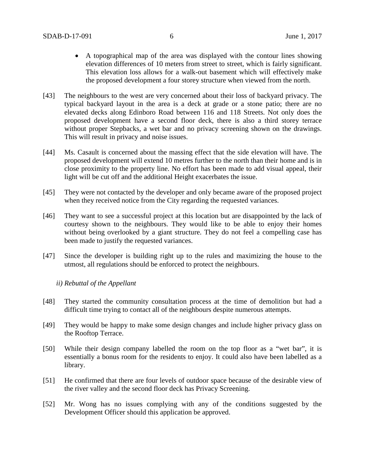- A topographical map of the area was displayed with the contour lines showing elevation differences of 10 meters from street to street, which is fairly significant. This elevation loss allows for a walk-out basement which will effectively make the proposed development a four storey structure when viewed from the north.
- [43] The neighbours to the west are very concerned about their loss of backyard privacy. The typical backyard layout in the area is a deck at grade or a stone patio; there are no elevated decks along Edinboro Road between 116 and 118 Streets. Not only does the proposed development have a second floor deck, there is also a third storey terrace without proper Stepbacks, a wet bar and no privacy screening shown on the drawings. This will result in privacy and noise issues.
- [44] Ms. Casault is concerned about the massing effect that the side elevation will have. The proposed development will extend 10 metres further to the north than their home and is in close proximity to the property line. No effort has been made to add visual appeal, their light will be cut off and the additional Height exacerbates the issue.
- [45] They were not contacted by the developer and only became aware of the proposed project when they received notice from the City regarding the requested variances.
- [46] They want to see a successful project at this location but are disappointed by the lack of courtesy shown to the neighbours. They would like to be able to enjoy their homes without being overlooked by a giant structure. They do not feel a compelling case has been made to justify the requested variances.
- [47] Since the developer is building right up to the rules and maximizing the house to the utmost, all regulations should be enforced to protect the neighbours.

#### *ii) Rebuttal of the Appellant*

- [48] They started the community consultation process at the time of demolition but had a difficult time trying to contact all of the neighbours despite numerous attempts.
- [49] They would be happy to make some design changes and include higher privacy glass on the Rooftop Terrace.
- [50] While their design company labelled the room on the top floor as a "wet bar", it is essentially a bonus room for the residents to enjoy. It could also have been labelled as a library.
- [51] He confirmed that there are four levels of outdoor space because of the desirable view of the river valley and the second floor deck has Privacy Screening.
- [52] Mr. Wong has no issues complying with any of the conditions suggested by the Development Officer should this application be approved.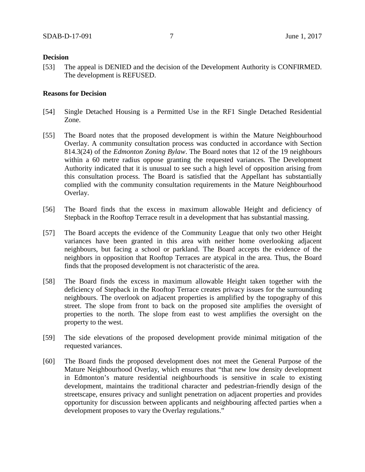### **Decision**

[53] The appeal is DENIED and the decision of the Development Authority is CONFIRMED. The development is REFUSED.

#### **Reasons for Decision**

- [54] Single Detached Housing is a Permitted Use in the RF1 Single Detached Residential Zone.
- [55] The Board notes that the proposed development is within the Mature Neighbourhood Overlay. A community consultation process was conducted in accordance with Section 814.3(24) of the *Edmonton Zoning Bylaw*. The Board notes that 12 of the 19 neighbours within a 60 metre radius oppose granting the requested variances. The Development Authority indicated that it is unusual to see such a high level of opposition arising from this consultation process. The Board is satisfied that the Appellant has substantially complied with the community consultation requirements in the Mature Neighbourhood Overlay.
- [56] The Board finds that the excess in maximum allowable Height and deficiency of Stepback in the Rooftop Terrace result in a development that has substantial massing.
- [57] The Board accepts the evidence of the Community League that only two other Height variances have been granted in this area with neither home overlooking adjacent neighbours, but facing a school or parkland. The Board accepts the evidence of the neighbors in opposition that Rooftop Terraces are atypical in the area. Thus, the Board finds that the proposed development is not characteristic of the area.
- [58] The Board finds the excess in maximum allowable Height taken together with the deficiency of Stepback in the Rooftop Terrace creates privacy issues for the surrounding neighbours. The overlook on adjacent properties is amplified by the topography of this street. The slope from front to back on the proposed site amplifies the oversight of properties to the north. The slope from east to west amplifies the oversight on the property to the west.
- [59] The side elevations of the proposed development provide minimal mitigation of the requested variances.
- [60] The Board finds the proposed development does not meet the General Purpose of the Mature Neighbourhood Overlay, which ensures that "that new low density development in Edmonton's mature residential neighbourhoods is sensitive in scale to existing development, maintains the traditional character and pedestrian-friendly design of the streetscape, ensures privacy and sunlight penetration on adjacent properties and provides opportunity for discussion between applicants and neighbouring affected parties when a development proposes to vary the Overlay regulations."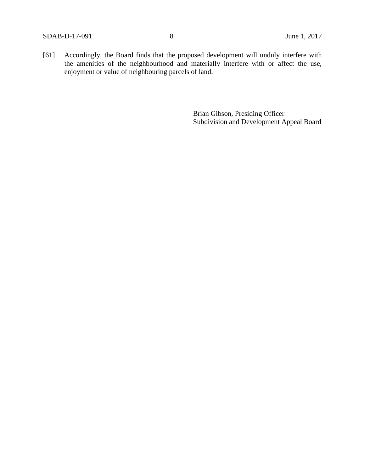[61] Accordingly, the Board finds that the proposed development will unduly interfere with the amenities of the neighbourhood and materially interfere with or affect the use, enjoyment or value of neighbouring parcels of land.

> Brian Gibson, Presiding Officer Subdivision and Development Appeal Board